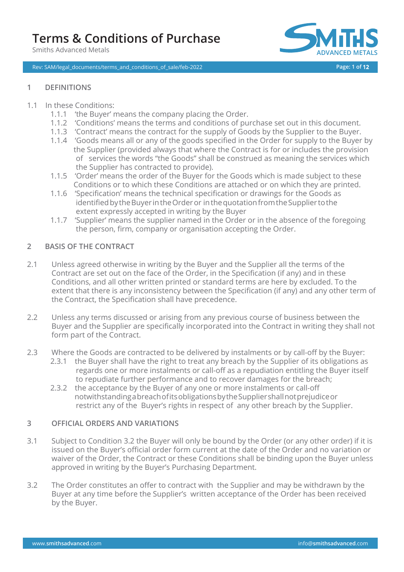Smiths Advanced Metals

Rev: SAM/legal\_documents/terms\_and\_conditions\_of\_sale/feb-2022 **Page: 1 of 12**



### **1 DEFINITIONS**

### 1.1 In these Conditions:

- 1.1.1 'the Buyer' means the company placing the Order.
- 1.1.2 'Conditions' means the terms and conditions of purchase set out in this document.
- 1.1.3 'Contract' means the contract for the supply of Goods by the Supplier to the Buyer.
- 1.1.4 'Goods means all or any of the goods specified in the Order for supply to the Buyer by the Supplier (provided always that where the Contract is for or includes the provision of services the words "the Goods" shall be construed as meaning the services which the Supplier has contracted to provide).
- 1.1.5 'Order' means the order of the Buyer for the Goods which is made subject to these Conditions or to which these Conditions are attached or on which they are printed.
- 1.1.6 'Specification' means the technical specification or drawings for the Goods as identified by the Buyer in the Order or in the quotation from the Supplier to the extent expressly accepted in writing by the Buyer
- 1.1.7 'Supplier' means the supplier named in the Order or in the absence of the foregoing the person, firm, company or organisation accepting the Order.

### **2 BASIS OF THE CONTRACT**

- 2.1 Unless agreed otherwise in writing by the Buyer and the Supplier all the terms of the Contract are set out on the face of the Order, in the Specification (if any) and in these Conditions, and all other written printed or standard terms are here by excluded. To the extent that there is any inconsistency between the Specification (if any) and any other term of the Contract, the Specification shall have precedence.
- $2.2$ Unless any terms discussed or arising from any previous course of business between the Buyer and the Supplier are specifically incorporated into the Contract in writing they shall not form part of the Contract.
- 2.3 Where the Goods are contracted to be delivered by instalments or by call-off by the Buyer:
	- 2.3.1 the Buyer shall have the right to treat any breach by the Supplier of its obligations as regards one or more instalments or call-off as a repudiation entitling the Buyer itself to repudiate further performance and to recover damages for the breach;
	- 2.3.2 the acceptance by the Buyer of any one or more instalments or call-off notwithstandingabreachofitsobligationsbytheSuppliershallnotprejudiceor restrict any of the Buyer's rights in respect of any other breach by the Supplier.

#### **3 OFFICIAL ORDERS AND VARIATIONS**

- 3.1 Subject to Condition 3.2 the Buyer will only be bound by the Order (or any other order) if it is issued on the Buyer's official order form current at the date of the Order and no variation or waiver of the Order, the Contract or these Conditions shall be binding upon the Buyer unless approved in writing by the Buyer's Purchasing Department.
- 3.2 The Order constitutes an offer to contract with the Supplier and may be withdrawn by the Buyer at any time before the Supplier's written acceptance of the Order has been received by the Buyer.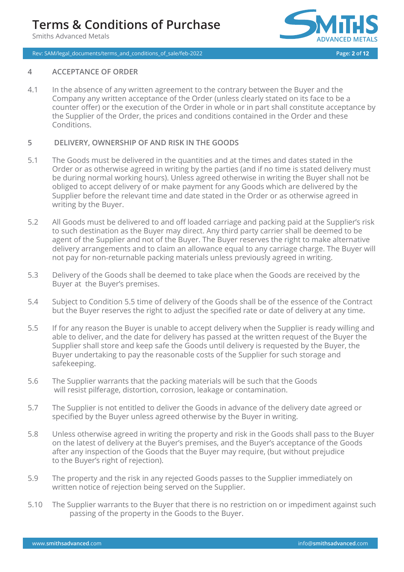Smiths Advanced Metals



Rev: SAM/legal\_documents/terms\_and\_conditions\_of\_sale/feb-2022 **Page: 2 of 12**

#### **4 ACCEPTANCE OF ORDER**

4.1 In the absence of any written agreement to the contrary between the Buyer and the Company any written acceptance of the Order (unless clearly stated on its face to be a counter offer) or the execution of the Order in whole or in part shall constitute acceptance by the Supplier of the Order, the prices and conditions contained in the Order and these Conditions.

#### **5 DELIVERY, OWNERSHIP OF AND RISK IN THE GOODS**

- 5.1 The Goods must be delivered in the quantities and at the times and dates stated in the Order or as otherwise agreed in writing by the parties (and if no time is stated delivery must be during normal working hours). Unless agreed otherwise in writing the Buyer shall not be obliged to accept delivery of or make payment for any Goods which are delivered by the Supplier before the relevant time and date stated in the Order or as otherwise agreed in writing by the Buyer.
- 5.2 All Goods must be delivered to and off loaded carriage and packing paid at the Supplier's risk to such destination as the Buyer may direct. Any third party carrier shall be deemed to be agent of the Supplier and not of the Buyer. The Buyer reserves the right to make alternative delivery arrangements and to claim an allowance equal to any carriage charge. The Buyer will not pay for non-returnable packing materials unless previously agreed in writing.
- 5.3 Delivery of the Goods shall be deemed to take place when the Goods are received by the Buyer at the Buyer's premises.
- 5.4 Subject to Condition 5.5 time of delivery of the Goods shall be of the essence of the Contract but the Buyer reserves the right to adjust the specified rate or date of delivery at any time.
- 5.5 If for any reason the Buyer is unable to accept delivery when the Supplier is ready willing and able to deliver, and the date for delivery has passed at the written request of the Buyer the Supplier shall store and keep safe the Goods until delivery is requested by the Buyer, the Buyer undertaking to pay the reasonable costs of the Supplier for such storage and safekeeping.
- 5.6 The Supplier warrants that the packing materials will be such that the Goods will resist pilferage, distortion, corrosion, leakage or contamination.
- 5.7 The Supplier is not entitled to deliver the Goods in advance of the delivery date agreed or specified by the Buyer unless agreed otherwise by the Buyer in writing.
- 5.8 Unless otherwise agreed in writing the property and risk in the Goods shall pass to the Buyer on the latest of delivery at the Buyer's premises, and the Buyer's acceptance of the Goods after any inspection of the Goods that the Buyer may require, (but without prejudice to the Buyer's right of rejection).
- 5.9 The property and the risk in any rejected Goods passes to the Supplier immediately on written notice of rejection being served on the Supplier.
- 5.10 The Supplier warrants to the Buyer that there is no restriction on or impediment against such passing of the property in the Goods to the Buyer.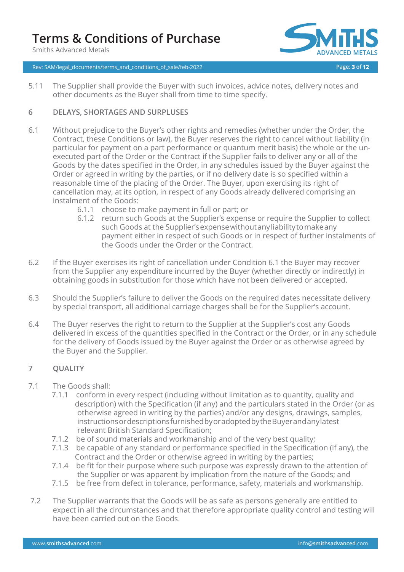Smiths Advanced Metals



Rev: SAM/legal\_documents/terms\_and\_conditions\_of\_sale/feb-2022 **Page: 3 of 12**

5.11 The Supplier shall provide the Buyer with such invoices, advice notes, delivery notes and other documents as the Buyer shall from time to time specify.

#### **6 DELAYS, SHORTAGES AND SURPLUSES**

- 6.1 Without prejudice to the Buyer's other rights and remedies (whether under the Order, the Contract, these Conditions or law), the Buyer reserves the right to cancel without liability (in particular for payment on a part performance or quantum merit basis) the whole or the unexecuted part of the Order or the Contract if the Supplier fails to deliver any or all of the Goods by the dates specified in the Order, in any schedules issued by the Buyer against the Order or agreed in writing by the parties, or if no delivery date is so specified within a reasonable time of the placing of the Order. The Buyer, upon exercising its right of cancellation may, at its option, in respect of any Goods already delivered comprising an instalment of the Goods:
	- 6.1.1 choose to make payment in full or part; or
	- 6.1.2 return such Goods at the Supplier's expense or require the Supplier to collect such Goods at the Supplier'sexpensewithoutanyliabilitytomakeany payment either in respect of such Goods or in respect of further instalments of the Goods under the Order or the Contract.
- 6.2 If the Buyer exercises its right of cancellation under Condition 6.1 the Buyer may recover from the Supplier any expenditure incurred by the Buyer (whether directly or indirectly) in obtaining goods in substitution for those which have not been delivered or accepted.
- 6.3 Should the Supplier's failure to deliver the Goods on the required dates necessitate delivery by special transport, all additional carriage charges shall be for the Supplier's account.
- 6.4 The Buyer reserves the right to return to the Supplier at the Supplier's cost any Goods delivered in excess of the quantities specified in the Contract or the Order, or in any schedule for the delivery of Goods issued by the Buyer against the Order or as otherwise agreed by the Buyer and the Supplier.

#### **7 QUALITY**

- 7.1 The Goods shall:
	- 7.1.1 conform in every respect (including without limitation as to quantity, quality and description) with the Specification (if any) and the particulars stated in the Order (or as otherwise agreed in writing by the parties) and/or any designs, drawings, samples, instructionsordescriptionsfurnishedbyoradoptedbytheBuyerandanylatest relevant British Standard Specification;
	- 7.1.2 be of sound materials and workmanship and of the very best quality;
	- 7.1.3 be capable of any standard or performance specified in the Specification (if any), the Contract and the Order or otherwise agreed in writing by the parties;
	- 7.1.4 be fit for their purpose where such purpose was expressly drawn to the attention of the Supplier or was apparent by implication from the nature of the Goods; and
	- 7.1.5 be free from defect in tolerance, performance, safety, materials and workmanship.
- 7.2 The Supplier warrants that the Goods will be as safe as persons generally are entitled to expect in all the circumstances and that therefore appropriate quality control and testing will have been carried out on the Goods.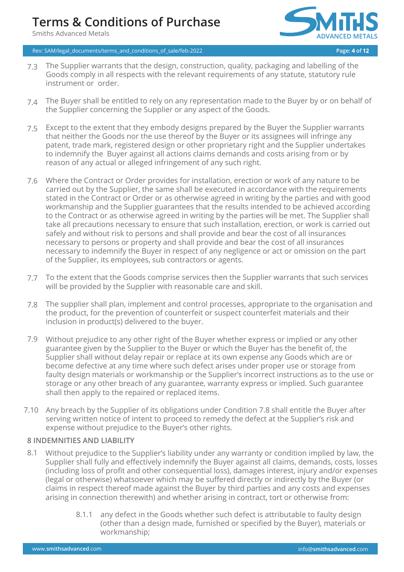Smiths Advanced Metals



Rev: SAM/legal\_documents/terms\_and\_conditions\_of\_sale/feb-2022 **Page: 4 of 12**

- 7.3 The Supplier warrants that the design, construction, quality, packaging and labelling of the Goods comply in all respects with the relevant requirements of any statute, statutory rule instrument or order.
- 7.4 The Buyer shall be entitled to rely on any representation made to the Buyer by or on behalf of the Supplier concerning the Supplier or any aspect of the Goods.
- 7.5 Except to the extent that they embody designs prepared by the Buyer the Supplier warrants that neither the Goods nor the use thereof by the Buyer or its assignees will infringe any patent, trade mark, registered design or other proprietary right and the Supplier undertakes to indemnify the Buyer against all actions claims demands and costs arising from or by reason of any actual or alleged infringement of any such right.
- Where the Contract or Order provides for installation, erection or work of any nature to be carried out by the Supplier, the same shall be executed in accordance with the requirements stated in the Contract or Order or as otherwise agreed in writing by the parties and with good workmanship and the Supplier guarantees that the results intended to be achieved according to the Contract or as otherwise agreed in writing by the parties will be met. The Supplier shall take all precautions necessary to ensure that such installation, erection, or work is carried out safely and without risk to persons and shall provide and bear the cost of all insurances necessary to persons or property and shall provide and bear the cost of all insurances necessary to indemnify the Buyer in respect of any negligence or act or omission on the part of the Supplier, its employees, sub contractors or agents. 7.6
- To the extent that the Goods comprise services then the Supplier warrants that such services 7.7 will be provided by the Supplier with reasonable care and skill.
- The supplier shall plan, implement and control processes, appropriate to the organisation and the product, for the prevention of counterfeit or suspect counterfeit materials and their inclusion in product(s) delivered to the buyer. 7.8
- Without prejudice to any other right of the Buyer whether express or implied or any other 7.9 guarantee given by the Supplier to the Buyer or which the Buyer has the benefit of, the Supplier shall without delay repair or replace at its own expense any Goods which are or become defective at any time where such defect arises under proper use or storage from faulty design materials or workmanship or the Supplier's incorrect instructions as to the use or storage or any other breach of any guarantee, warranty express or implied. Such guarantee shall then apply to the repaired or replaced items.
- Any breach by the Supplier of its obligations under Condition 7.8 shall entitle the Buyer after 7.10 serving written notice of intent to proceed to remedy the defect at the Supplier's risk and expense without prejudice to the Buyer's other rights.

## **8 INDEMNITIES AND LIABILITY**

- 8.1 Without prejudice to the Supplier's liability under any warranty or condition implied by law, the Supplier shall fully and effectively indemnify the Buyer against all claims, demands, costs, losses (including loss of profit and other consequential loss), damages interest, injury and/or expenses (legal or otherwise) whatsoever which may be suffered directly or indirectly by the Buyer (or claims in respect thereof made against the Buyer by third parties and any costs and expenses arising in connection therewith) and whether arising in contract, tort or otherwise from:
	- 8.1.1 any defect in the Goods whether such defect is attributable to faulty design (other than a design made, furnished or specified by the Buyer), materials or workmanship;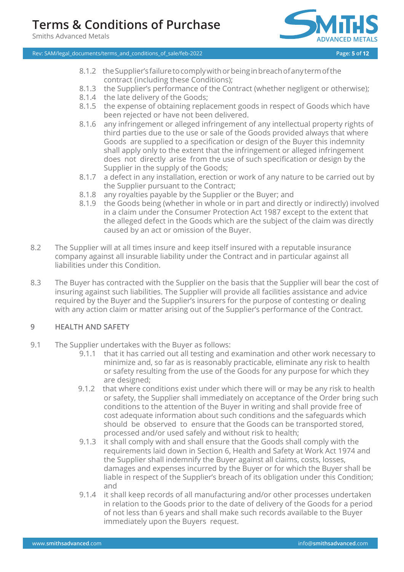Smiths Advanced Metals



Rev: SAM/legal\_documents/terms\_and\_conditions\_of\_sale/feb-2022 **Page: 5 of 12**

- 8.1.2 theSupplier'sfailuretocomplywithorbeinginbreachofanytermofthe contract (including these Conditions);
- 8.1.3 the Supplier's performance of the Contract (whether negligent or otherwise);
- 8.1.4 the late delivery of the Goods;
- 8.1.5 the expense of obtaining replacement goods in respect of Goods which have been rejected or have not been delivered.
- 8.1.6 any infringement or alleged infringement of any intellectual property rights of third parties due to the use or sale of the Goods provided always that where Goods are supplied to a specification or design of the Buyer this indemnity shall apply only to the extent that the infringement or alleged infringement does not directly arise from the use of such specification or design by the Supplier in the supply of the Goods;
- 8.1.7 a defect in any installation, erection or work of any nature to be carried out by the Supplier pursuant to the Contract;
- 8.1.8 any royalties payable by the Supplier or the Buyer; and
- 8.1.9 the Goods being (whether in whole or in part and directly or indirectly) involved in a claim under the Consumer Protection Act 1987 except to the extent that the alleged defect in the Goods which are the subject of the claim was directly caused by an act or omission of the Buyer.
- 8.2 The Supplier will at all times insure and keep itself insured with a reputable insurance company against all insurable liability under the Contract and in particular against all liabilities under this Condition.
- 8.3 The Buyer has contracted with the Supplier on the basis that the Supplier will bear the cost of insuring against such liabilities. The Supplier will provide all facilities assistance and advice required by the Buyer and the Supplier's insurers for the purpose of contesting or dealing with any action claim or matter arising out of the Supplier's performance of the Contract.

#### **9 HEALTH AND SAFETY**

- 9.1 The Supplier undertakes with the Buyer as follows:
	- 9.1.1 that it has carried out all testing and examination and other work necessary to minimize and, so far as is reasonably practicable, eliminate any risk to health or safety resulting from the use of the Goods for any purpose for which they are designed;
	- 9.1.2 that where conditions exist under which there will or may be any risk to health or safety, the Supplier shall immediately on acceptance of the Order bring such conditions to the attention of the Buyer in writing and shall provide free of cost adequate information about such conditions and the safeguards which should be observed to ensure that the Goods can be transported stored, processed and/or used safely and without risk to health;
	- 9.1.3 it shall comply with and shall ensure that the Goods shall comply with the requirements laid down in Section 6, Health and Safety at Work Act 1974 and the Supplier shall indemnify the Buyer against all claims, costs, losses, damages and expenses incurred by the Buyer or for which the Buyer shall be liable in respect of the Supplier's breach of its obligation under this Condition; and
	- 9.1.4 it shall keep records of all manufacturing and/or other processes undertaken in relation to the Goods prior to the date of delivery of the Goods for a period of not less than 6 years and shall make such records available to the Buyer immediately upon the Buyers request.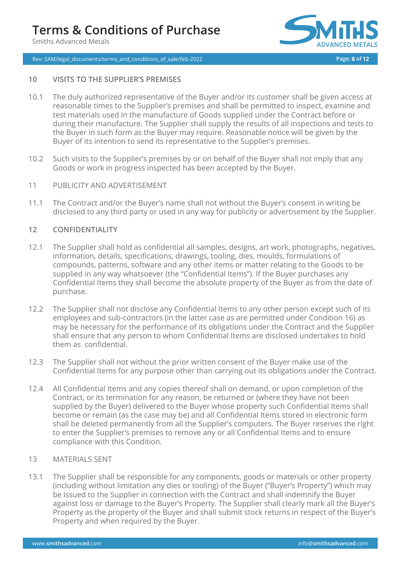Smiths Advanced Metals

### Rev: SAM/legal\_documents/terms\_and\_conditions\_of\_sale/feb-2022 **Page: 6 of 12**



### **10 VISITS TO THE SUPPLIER'S PREMISES**

- 10.1 The duly authorized representative of the Buyer and/or its customer shall be given access at reasonable times to the Supplier's premises and shall be permitted to inspect, examine and test materials used in the manufacture of Goods supplied under the Contract before or during their manufacture. The Supplier shall supply the results of all inspections and tests to the Buyer in such form as the Buyer may require. Reasonable notice will be given by the Buyer of its intention to send its representative to the Supplier's premises.
- 10.2 Such visits to the Supplier's premises by or on behalf of the Buyer shall not imply that any Goods or work in progress inspected has been accepted by the Buyer.
- 11 PUBLICITY AND ADVERTISEMENT
- 11.1 The Contract and/or the Buyer's name shall not without the Buyer's consent in writing be disclosed to any third party or used in any way for publicity or advertisement by the Supplier.

### **12 CONFIDENTIALITY**

- 12.1 The Supplier shall hold as confidential all samples, designs, art work, photographs, negatives, information, details, specifications, drawings, tooling, dies, moulds, formulations of compounds, patterns, software and any other items or matter relating to the Goods to be supplied in any way whatsoever (the "Confidential Items"). If the Buyer purchases any Confidential Items they shall become the absolute property of the Buyer as from the date of purchase.
- 12.2 The Supplier shall not disclose any Confidential Items to any other person except such of its employees and sub-contractors (in the latter case as are permitted under Condition 16) as may be necessary for the performance of its obligations under the Contract and the Supplier shall ensure that any person to whom Confidential Items are disclosed undertakes to hold them as confidential.
- 12.3 The Supplier shall not without the prior written consent of the Buyer make use of the Confidential Items for any purpose other than carrying out its obligations under the Contract.
- 12.4 All Confidential Items and any copies thereof shall on demand, or upon completion of the Contract, or its termination for any reason, be returned or (where they have not been supplied by the Buyer) delivered to the Buyer whose property such Confidential Items shall become or remain (as the case may be) and all Confidential Items stored in electronic form shall be deleted permanently from all the Supplier's computers. The Buyer reserves the right to enter the Supplier's premises to remove any or all Confidential Items and to ensure compliance with this Condition.

#### 13 MATERIALS SENT

13.1 The Supplier shall be responsible for any components, goods or materials or other property (including without limitation any dies or tooling) of the Buyer ("Buyer's Property") which may be issued to the Supplier in connection with the Contract and shall indemnify the Buyer against loss or damage to the Buyer's Property. The Supplier shall clearly mark all the Buyer's Property as the property of the Buyer and shall submit stock returns in respect of the Buyer's Property and when required by the Buyer.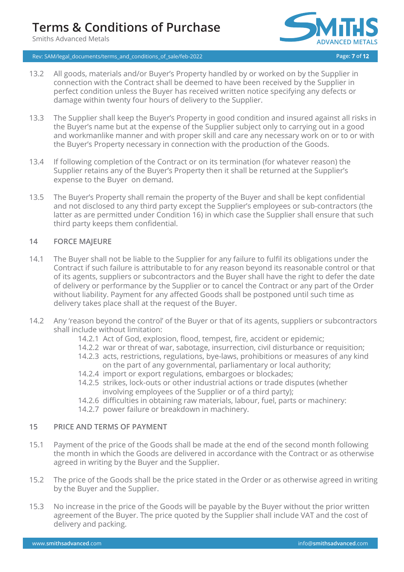Smiths Advanced Metals



### Rev: SAM/legal\_documents/terms\_and\_conditions\_of\_sale/feb-2022 **Page: 7 of 12**

- 13.2 All goods, materials and/or Buyer's Property handled by or worked on by the Supplier in connection with the Contract shall be deemed to have been received by the Supplier in perfect condition unless the Buyer has received written notice specifying any defects or damage within twenty four hours of delivery to the Supplier.
- 13.3 The Supplier shall keep the Buyer's Property in good condition and insured against all risks in the Buyer's name but at the expense of the Supplier subject only to carrying out in a good and workmanlike manner and with proper skill and care any necessary work on or to or with the Buyer's Property necessary in connection with the production of the Goods.
- 13.4 If following completion of the Contract or on its termination (for whatever reason) the Supplier retains any of the Buyer's Property then it shall be returned at the Supplier's expense to the Buyer on demand.
- 13.5 The Buyer's Property shall remain the property of the Buyer and shall be kept confidential and not disclosed to any third party except the Supplier's employees or sub-contractors (the latter as are permitted under Condition 16) in which case the Supplier shall ensure that such third party keeps them confidential.

#### **14 FORCE MAJEURE**

- 14.1 The Buyer shall not be liable to the Supplier for any failure to fulfil its obligations under the Contract if such failure is attributable to for any reason beyond its reasonable control or that of its agents, suppliers or subcontractors and the Buyer shall have the right to defer the date of delivery or performance by the Supplier or to cancel the Contract or any part of the Order without liability. Payment for any affected Goods shall be postponed until such time as delivery takes place shall at the request of the Buyer.
- 14.2 Any 'reason beyond the control' of the Buyer or that of its agents, suppliers or subcontractors shall include without limitation:
	- 14.2.1 Act of God, explosion, flood, tempest, fire, accident or epidemic;
	- 14.2.2 war or threat of war, sabotage, insurrection, civil disturbance or requisition;
	- 14.2.3 acts, restrictions, regulations, bye-laws, prohibitions or measures of any kind on the part of any governmental, parliamentary or local authority;
	- 14.2.4 import or export regulations, embargoes or blockades;
	- 14.2.5 strikes, lock-outs or other industrial actions or trade disputes (whether involving employees of the Supplier or of a third party);
	- 14.2.6 difficulties in obtaining raw materials, labour, fuel, parts or machinery:
	- 14.2.7 power failure or breakdown in machinery.

## **15 PRICE AND TERMS OF PAYMENT**

- 15.1 Payment of the price of the Goods shall be made at the end of the second month following the month in which the Goods are delivered in accordance with the Contract or as otherwise agreed in writing by the Buyer and the Supplier.
- 15.2 The price of the Goods shall be the price stated in the Order or as otherwise agreed in writing by the Buyer and the Supplier.
- 15.3 No increase in the price of the Goods will be payable by the Buyer without the prior written agreement of the Buyer. The price quoted by the Supplier shall include VAT and the cost of delivery and packing.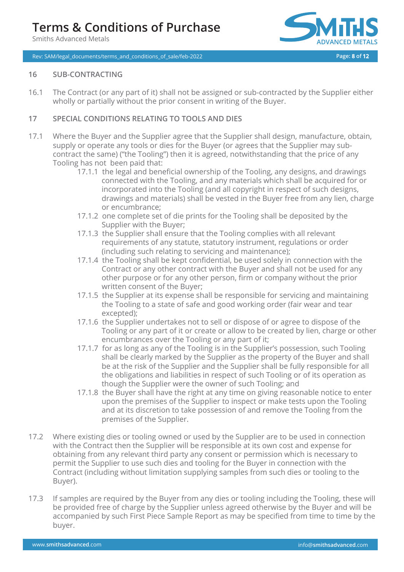Smiths Advanced Metals



Rev: SAM/legal\_documents/terms\_and\_conditions\_of\_sale/feb-2022 **Page: 8 of 12**

### **16 SUB-CONTRACTING**

16.1 The Contract (or any part of it) shall not be assigned or sub-contracted by the Supplier either wholly or partially without the prior consent in writing of the Buyer.

### **17 SPECIAL CONDITIONS RELATING TO TOOLS AND DIES**

- 17.1 Where the Buyer and the Supplier agree that the Supplier shall design, manufacture, obtain, supply or operate any tools or dies for the Buyer (or agrees that the Supplier may subcontract the same) ("the Tooling") then it is agreed, notwithstanding that the price of any Tooling has not been paid that:
	- 17.1.1 the legal and beneficial ownership of the Tooling, any designs, and drawings connected with the Tooling, and any materials which shall be acquired for or incorporated into the Tooling (and all copyright in respect of such designs, drawings and materials) shall be vested in the Buyer free from any lien, charge or encumbrance;
	- 17.1.2 one complete set of die prints for the Tooling shall be deposited by the Supplier with the Buyer;
	- 17.1.3 the Supplier shall ensure that the Tooling complies with all relevant requirements of any statute, statutory instrument, regulations or order (including such relating to servicing and maintenance);
	- 17.1.4 the Tooling shall be kept confidential, be used solely in connection with the Contract or any other contract with the Buyer and shall not be used for any other purpose or for any other person, firm or company without the prior written consent of the Buyer;
	- 17.1.5 the Supplier at its expense shall be responsible for servicing and maintaining the Tooling to a state of safe and good working order (fair wear and tear excepted);
	- 17.1.6 the Supplier undertakes not to sell or dispose of or agree to dispose of the Tooling or any part of it or create or allow to be created by lien, charge or other encumbrances over the Tooling or any part of it;
	- 17.1.7 for as long as any of the Tooling is in the Supplier's possession, such Tooling shall be clearly marked by the Supplier as the property of the Buyer and shall be at the risk of the Supplier and the Supplier shall be fully responsible for all the obligations and liabilities in respect of such Tooling or of its operation as though the Supplier were the owner of such Tooling; and
	- 17.1.8 the Buyer shall have the right at any time on giving reasonable notice to enter upon the premises of the Supplier to inspect or make tests upon the Tooling and at its discretion to take possession of and remove the Tooling from the premises of the Supplier.
- 17.2 Where existing dies or tooling owned or used by the Supplier are to be used in connection with the Contract then the Supplier will be responsible at its own cost and expense for obtaining from any relevant third party any consent or permission which is necessary to permit the Supplier to use such dies and tooling for the Buyer in connection with the Contract (including without limitation supplying samples from such dies or tooling to the Buyer).
- 17.3 If samples are required by the Buyer from any dies or tooling including the Tooling, these will be provided free of charge by the Supplier unless agreed otherwise by the Buyer and will be accompanied by such First Piece Sample Report as may be specified from time to time by the buyer.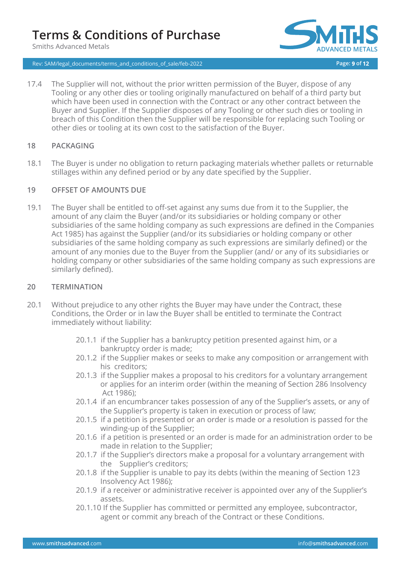Smiths Advanced Metals



Rev: SAM/legal\_documents/terms\_and\_conditions\_of\_sale/feb-2022 **Page: 9 of 12**

17.4 The Supplier will not, without the prior written permission of the Buyer, dispose of any Tooling or any other dies or tooling originally manufactured on behalf of a third party but which have been used in connection with the Contract or any other contract between the Buyer and Supplier. If the Supplier disposes of any Tooling or other such dies or tooling in breach of this Condition then the Supplier will be responsible for replacing such Tooling or other dies or tooling at its own cost to the satisfaction of the Buyer.

#### **18 PACKAGING**

18.1 The Buyer is under no obligation to return packaging materials whether pallets or returnable stillages within any defined period or by any date specified by the Supplier.

### **19 OFFSET OF AMOUNTS DUE**

19.1 The Buyer shall be entitled to off-set against any sums due from it to the Supplier, the amount of any claim the Buyer (and/or its subsidiaries or holding company or other subsidiaries of the same holding company as such expressions are defined in the Companies Act 1985) has against the Supplier (and/or its subsidiaries or holding company or other subsidiaries of the same holding company as such expressions are similarly defined) or the amount of any monies due to the Buyer from the Supplier (and/ or any of its subsidiaries or holding company or other subsidiaries of the same holding company as such expressions are similarly defined).

### **20 TERMINATION**

- 20.1 Without prejudice to any other rights the Buyer may have under the Contract, these Conditions, the Order or in law the Buyer shall be entitled to terminate the Contract immediately without liability:
	- 20.1.1 if the Supplier has a bankruptcy petition presented against him, or a bankruptcy order is made;
	- 20.1.2 if the Supplier makes or seeks to make any composition or arrangement with his creditors;
	- 20.1.3 if the Supplier makes a proposal to his creditors for a voluntary arrangement or applies for an interim order (within the meaning of Section 286 Insolvency Act 1986);
	- 20.1.4 if an encumbrancer takes possession of any of the Supplier's assets, or any of the Supplier's property is taken in execution or process of law;
	- 20.1.5 if a petition is presented or an order is made or a resolution is passed for the winding-up of the Supplier;
	- 20.1.6 if a petition is presented or an order is made for an administration order to be made in relation to the Supplier;
	- 20.1.7 if the Supplier's directors make a proposal for a voluntary arrangement with the Supplier's creditors;
	- 20.1.8 if the Supplier is unable to pay its debts (within the meaning of Section 123 Insolvency Act 1986);
	- 20.1.9 if a receiver or administrative receiver is appointed over any of the Supplier's assets.
	- 20.1.10 If the Supplier has committed or permitted any employee, subcontractor, agent or commit any breach of the Contract or these Conditions.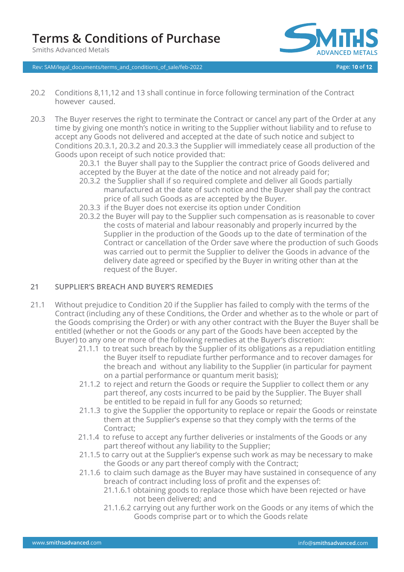Smiths Advanced Metals



Rev: SAM/legal\_documents/terms\_and\_conditions\_of\_sale/feb-2022 **Page: 10 of 12**

- 20.2 Conditions 8,11,12 and 13 shall continue in force following termination of the Contract however caused.
- 20.3 The Buyer reserves the right to terminate the Contract or cancel any part of the Order at any time by giving one month's notice in writing to the Supplier without liability and to refuse to accept any Goods not delivered and accepted at the date of such notice and subject to Conditions 20.3.1, 20.3.2 and 20.3.3 the Supplier will immediately cease all production of the Goods upon receipt of such notice provided that:

20.3.1 the Buyer shall pay to the Supplier the contract price of Goods delivered and accepted by the Buyer at the date of the notice and not already paid for;

- 20.3.2 the Supplier shall if so required complete and deliver all Goods partially manufactured at the date of such notice and the Buyer shall pay the contract price of all such Goods as are accepted by the Buyer.
- 20.3.3 if the Buyer does not exercise its option under Condition
- 20.3.2 the Buyer will pay to the Supplier such compensation as is reasonable to cover the costs of material and labour reasonably and properly incurred by the Supplier in the production of the Goods up to the date of termination of the Contract or cancellation of the Order save where the production of such Goods was carried out to permit the Supplier to deliver the Goods in advance of the delivery date agreed or specified by the Buyer in writing other than at the request of the Buyer.

## **21 SUPPLIER'S BREACH AND BUYER'S REMEDIES**

- 21.1 Without prejudice to Condition 20 if the Supplier has failed to comply with the terms of the Contract (including any of these Conditions, the Order and whether as to the whole or part of the Goods comprising the Order) or with any other contract with the Buyer the Buyer shall be entitled (whether or not the Goods or any part of the Goods have been accepted by the Buyer) to any one or more of the following remedies at the Buyer's discretion:
	- 21.1.1 to treat such breach by the Supplier of its obligations as a repudiation entitling the Buyer itself to repudiate further performance and to recover damages for the breach and without any liability to the Supplier (in particular for payment on a partial performance or quantum merit basis);
	- 21.1.2 to reject and return the Goods or require the Supplier to collect them or any part thereof, any costs incurred to be paid by the Supplier. The Buyer shall be entitled to be repaid in full for any Goods so returned;
	- 21.1.3 to give the Supplier the opportunity to replace or repair the Goods or reinstate them at the Supplier's expense so that they comply with the terms of the Contract;
	- 21.1.4 to refuse to accept any further deliveries or instalments of the Goods or any part thereof without any liability to the Supplier;
	- 21.1.5 to carry out at the Supplier's expense such work as may be necessary to make the Goods or any part thereof comply with the Contract;
	- 21.1.6 to claim such damage as the Buyer may have sustained in consequence of any breach of contract including loss of profit and the expenses of:
		- 21.1.6.1 obtaining goods to replace those which have been rejected or have not been delivered; and
		- 21.1.6.2 carrying out any further work on the Goods or any items of which the Goods comprise part or to which the Goods relate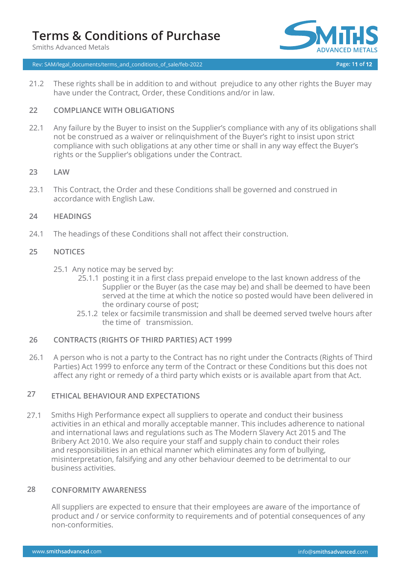Smiths Advanced Metals



Rev: SAM/legal\_documents/terms\_and\_conditions\_of\_sale/feb-2022 **Page: 11 of 12**

21.2 These rights shall be in addition to and without prejudice to any other rights the Buyer may have under the Contract, Order, these Conditions and/or in law.

#### **22 COMPLIANCE WITH OBLIGATIONS**

22.1 Any failure by the Buyer to insist on the Supplier's compliance with any of its obligations shall not be construed as a waiver or relinquishment of the Buyer's right to insist upon strict compliance with such obligations at any other time or shall in any way effect the Buyer's rights or the Supplier's obligations under the Contract.

#### **23 LAW**

23.1 This Contract, the Order and these Conditions shall be governed and construed in accordance with English Law.

#### **24 HEADINGS**

24.1 The headings of these Conditions shall not affect their construction.

#### **25 NOTICES**

- 25.1 Any notice may be served by:
	- 25.1.1 posting it in a first class prepaid envelope to the last known address of the Supplier or the Buyer (as the case may be) and shall be deemed to have been served at the time at which the notice so posted would have been delivered in the ordinary course of post;
	- 25.1.2 telex or facsimile transmission and shall be deemed served twelve hours after the time of transmission.

#### **26 CONTRACTS (RIGHTS OF THIRD PARTIES) ACT 1999**

26.1 A person who is not a party to the Contract has no right under the Contracts (Rights of Third Parties) Act 1999 to enforce any term of the Contract or these Conditions but this does not affect any right or remedy of a third party which exists or is available apart from that Act.

### **27 ETHICAL BEHAVIOUR AND EXPECTATIONS**

27.1 Smiths High Performance expect all suppliers to operate and conduct their business activities in an ethical and morally acceptable manner. This includes adherence to national and international laws and regulations such as The Modern Slavery Act 2015 and The Bribery Act 2010. We also require your staff and supply chain to conduct their roles and responsibilities in an ethical manner which eliminates any form of bullying, misinterpretation, falsifying and any other behaviour deemed to be detrimental to our business activities.

#### **28 CONFORMITY AWARENESS**

All suppliers are expected to ensure that their employees are aware of the importance of product and / or service conformity to requirements and of potential consequences of any non-conformities.